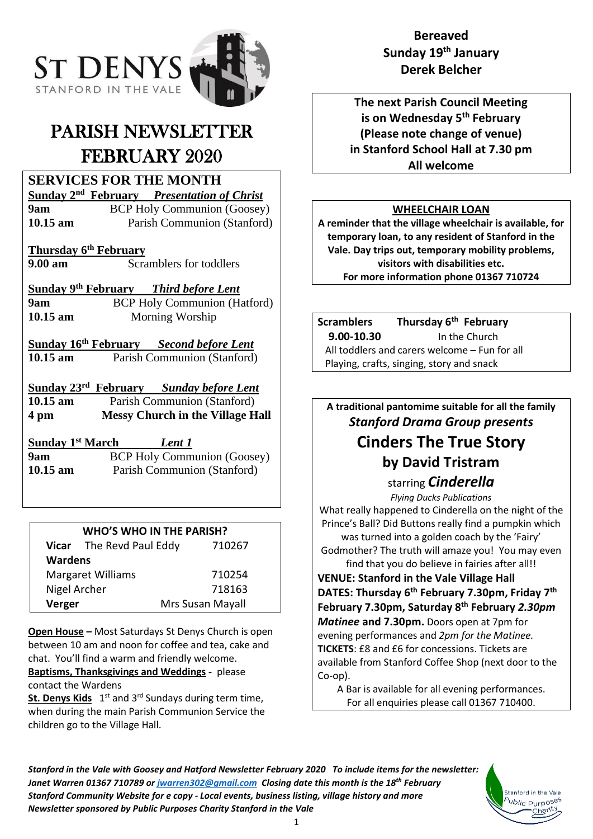

# PARISH NEWSLETTER FEBRUARY 2020

# **SERVICES FOR THE MONTH**

**Sunday 2 nd February** *Presentation of Christ* **9am** BCP Holy Communion (Goosey) **10.15 am** Parish Communion (Stanford)

**Thursday 6 th February**

**9.00 am** Scramblers for toddlers

**Sunday 9 th February** *Third before Lent* **9am BCP** Holy Communion (Hatford) **10.15 am** Morning Worship

**Sunday 16 th February** *Second before Lent* **10.15 am** Parish Communion (Stanford)

**Sunday 23 rd February** *Sunday before Lent* **10.15 am** Parish Communion (Stanford) **4 pm Messy Church in the Village Hall**

**Sunday 1 st March** *Lent 1* **9am** BCP Holy Communion (Goosey) **10.15 am** Parish Communion (Stanford)

### **WHO'S WHO IN THE PARISH?**

|                          | Vicar The Revd Paul Eddy | 710267           |
|--------------------------|--------------------------|------------------|
| <b>Wardens</b>           |                          |                  |
| <b>Margaret Williams</b> |                          | 710254           |
| Nigel Archer             |                          | 718163           |
| Verger                   |                          | Mrs Susan Mayall |

**Open House –** Most Saturdays St Denys Church is open between 10 am and noon for coffee and tea, cake and chat. You'll find a warm and friendly welcome. **Baptisms, Thanksgivings and Weddings -** please

contact the Wardens

**St. Denys Kids** 1<sup>st</sup> and 3<sup>rd</sup> Sundays during term time, when during the main Parish Communion Service the children go to the Village Hall.

# **Bereaved Sunday 19th January Derek Belcher**

**The next Parish Council Meeting is on Wednesday 5 th February (Please note change of venue) in Stanford School Hall at 7.30 pm All welcome**

## **WHEELCHAIR LOAN**

**A reminder that the village wheelchair is available, for temporary loan, to any resident of Stanford in the Vale. Day trips out, temporary mobility problems, visitors with disabilities etc. For more information phone 01367 710724**

| <b>Scramblers</b>                             | Thursday 6 <sup>th</sup> February |  |
|-----------------------------------------------|-----------------------------------|--|
| 9.00-10.30                                    | In the Church                     |  |
| All toddlers and carers welcome – Fun for all |                                   |  |
| Playing, crafts, singing, story and snack     |                                   |  |

**A traditional pantomime suitable for all the family** *Stanford Drama Group presents* **Cinders The True Story by David Tristram**

> starring *Cinderella Flying Ducks Publications*

What really happened to Cinderella on the night of the Prince's Ball? Did Buttons really find a pumpkin which was turned into a golden coach by the 'Fairy' Godmother? The truth will amaze you! You may even find that you do believe in fairies after all!!

**VENUE: Stanford in the Vale Village Hall DATES: Thursday 6th February 7.30pm, Friday 7th February 7.30pm, Saturday 8th February** *2.30pm Matinee* **and 7.30pm.** Doors open at 7pm for evening performances and *2pm for the Matinee.*  **TICKETS**: £8 and £6 for concessions. Tickets are available from Stanford Coffee Shop (next door to the Co-op).

A Bar is available for all evening performances. For all enquiries please call 01367 710400.

> Stanford in the Vak <sup>5</sup>ublic Purpo<sup>se</sup>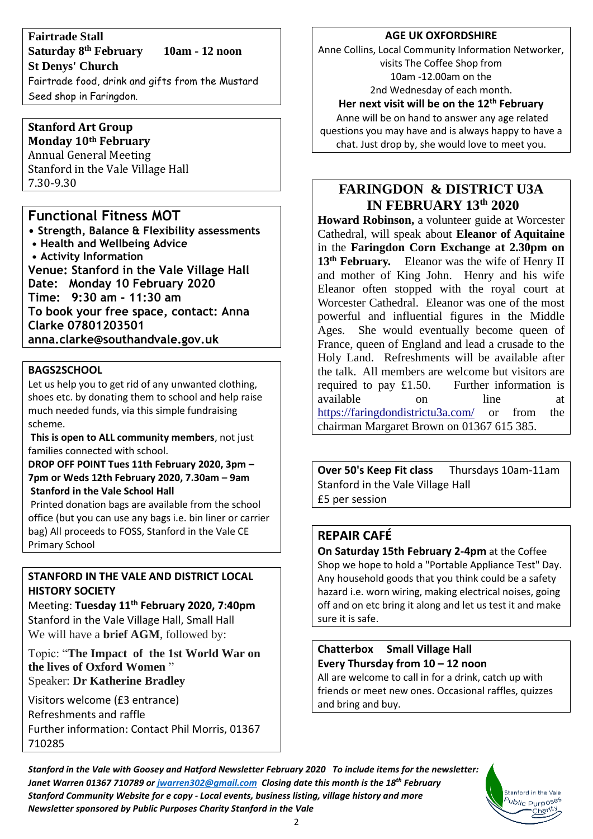**Fairtrade Stall Saturday 8 th February 10am - 12 noon St Denys' Church**

Fairtrade food, drink and gifts from the Mustard Seed shop in Faringdon.

#### **Stanford Art Group Monday 10th February**

Annual General Meeting Stanford in the Vale Village Hall 7.30-9.30

## **Functional Fitness MOT**

**• Strength, Balance & Flexibility assessments • Health and Wellbeing Advice • Activity Information Venue: Stanford in the Vale Village Hall Date: Monday 10 February 2020 Time: 9:30 am - 11:30 am To book your free space, contact: Anna Clarke 07801203501 anna.clarke@southandvale.gov.uk**

#### **BAGS2SCHOOL**

Let us help you to get rid of any unwanted clothing, shoes etc. by donating them to school and help raise much needed funds, via this simple fundraising scheme.

**This is open to ALL community members**, not just families connected with school.

**DROP OFF POINT Tues 11th February 2020, 3pm – 7pm or Weds 12th February 2020, 7.30am – 9am Stanford in the Vale School Hall** 

Printed donation bags are available from the school office (but you can use any bags i.e. bin liner or carrier bag) All proceeds to FOSS, Stanford in the Vale CE Primary School

#### **STANFORD IN THE VALE AND DISTRICT LOCAL HISTORY SOCIETY**

Meeting: **Tuesday 11 th February 2020, 7:40pm** Stanford in the Vale Village Hall, Small Hall We will have a **brief AGM**, followed by:

Topic: "**The Impact of the 1st World War on the lives of Oxford Women** " Speaker: **Dr Katherine Bradley**

Visitors welcome (£3 entrance) Refreshments and raffle Further information: Contact Phil Morris, 01367 710285

#### **AGE UK OXFORDSHIRE**

Anne Collins, Local Community Information Networker, visits The Coffee Shop from 10am -12.00am on the 2nd Wednesday of each month.

#### **Her next visit will be on the 12 th February**

Anne will be on hand to answer any age related questions you may have and is always happy to have a chat. Just drop by, she would love to meet you.

## **FARINGDON & DISTRICT U3A IN FEBRUARY 13th 2020**

**Howard Robinson,** a volunteer guide at Worcester Cathedral, will speak about **Eleanor of Aquitaine**  in the **Faringdon Corn Exchange at 2.30pm on 13th February.** Eleanor was the wife of Henry II and mother of King John. Henry and his wife Eleanor often stopped with the royal court at Worcester Cathedral. Eleanor was one of the most powerful and influential figures in the Middle Ages. She would eventually become queen of France, queen of England and lead a crusade to the Holy Land. Refreshments will be available after the talk. All members are welcome but visitors are required to pay £1.50. Further information is available on line at <https://faringdondistrictu3a.com/> or from the chairman Margaret Brown on 01367 615 385.

**Over 50's Keep Fit class** Thursdays 10am-11am Stanford in the Vale Village Hall £5 per session

#### **REPAIR CAFÉ**

**On Saturday 15th February 2-4pm** at the Coffee Shop we hope to hold a "Portable Appliance Test" Day. Any household goods that you think could be a safety hazard i.e. worn wiring, making electrical noises, going off and on etc bring it along and let us test it and make sure it is safe.

## **Chatterbox Small Village Hall Every Thursday from 10 – 12 noon**

All are welcome to call in for a drink, catch up with friends or meet new ones. Occasional raffles, quizzes and bring and buy.

> Stanford in the Vale b<sub>ublic</sub> p<sub>urposes</sub> Charity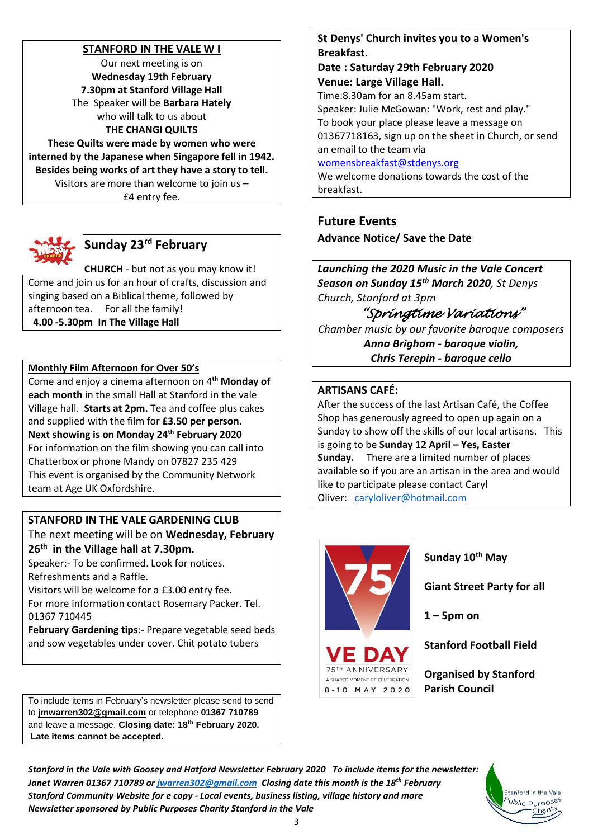#### **STANFORD IN THE VALE W I**

Our next meeting is on **Wednesday 19th February 7.30pm at Stanford Village Hall** The Speaker will be **Barbara Hately**  who will talk to us about **THE CHANGI QUILTS**

**These Quilts were made by women who were interned by the Japanese when Singapore fell in 1942. Besides being works of art they have a story to tell.** Visitors are more than welcome to join us – £4 entry fee.



# **Sunday 23rd February**

**CHURCH** - but not as you may know it! Come and join us for an hour of crafts, discussion and singing based on a Biblical theme, followed by afternoon tea. For all the family! **4.00 -5.30pm In The Village Hall**

#### **Monthly Film Afternoon for Over 50's**

Come and enjoy a cinema afternoon on 4**th Monday of each month** in the small Hall at Stanford in the vale Village hall. **Starts at 2pm.** Tea and coffee plus cakes and supplied with the film for **£3.50 per person. Next showing is on Monday 24 th February 2020** For information on the film showing you can call into Chatterbox or phone Mandy on 07827 235 429 This event is organised by the Community Network team at Age UK Oxfordshire.

#### **STANFORD IN THE VALE GARDENING CLUB**

The next meeting will be on **Wednesday, February 26th in the Village hall at 7.30pm.**

Speaker:- To be confirmed. Look for notices. Refreshments and a Raffle.

Visitors will be welcome for a £3.00 entry fee. For more information contact Rosemary Packer. Tel. 01367 710445

**February Gardening tips**:- Prepare vegetable seed beds and sow vegetables under cover. Chit potato tubers

To include items in February's newsletter please send to send to **[jmwarren302@gmail.com](mailto:jmwarren302@gmail.com)** or telephone **01367 710789** and leave a message. **Closing date: 18th February 2020. Late items cannot be accepted.**

#### **St Denys' Church invites you to a Women's Breakfast.**

**Date : Saturday 29th February 2020 Venue: Large Village Hall.**

Time:8.30am for an 8.45am start.

Speaker: Julie McGowan: "Work, rest and play." To book your place please leave a message on 01367718163, sign up on the sheet in Church, or send an email to the team via

[womensbreakfast@stdenys.org](mailto:womensbreakfast@stdenys.org)

We welcome donations towards the cost of the breakfast.

#### **Future Events Advance Notice/ Save the Date**

*Launching the 2020 Music in the Vale Concert Season on Sunday 15th March 2020, St Denys Church, Stanford at 3pm* 

*"Springtime Variations" Chamber music by our favorite baroque composers Anna Brigham - baroque violin, Chris Terepin - baroque cello*

#### **ARTISANS CAFÉ:**

After the success of the last Artisan Café, the Coffee Shop has generously agreed to open up again on a Sunday to show off the skills of our local artisans. This is going to be **Sunday 12 April – Yes, Easter Sunday.** There are a limited number of places available so if you are an artisan in the area and would like to participate please contact Caryl Oliver: [caryloliver@hotmail.com](mailto:caryloliver@hotmail.com)



#### **Sunday 10th May**

**Giant Street Party for all** 

**1 – 5pm on**

**Stanford Football Field**

**Organised by Stanford Parish Council**